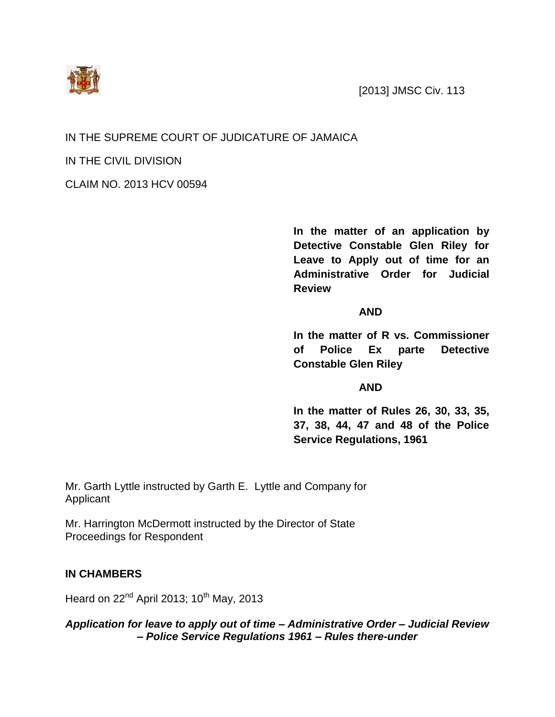



## IN THE SUPREME COURT OF JUDICATURE OF JAMAICA

IN THE CIVIL DIVISION

CLAIM NO. 2013 HCV 00594

**In the matter of an application by Detective Constable Glen Riley for Leave to Apply out of time for an Administrative Order for Judicial Review**

## **AND**

**In the matter of R vs. Commissioner of Police Ex parte Detective Constable Glen Riley**

## **AND**

**In the matter of Rules 26, 30, 33, 35, 37, 38, 44, 47 and 48 of the Police Service Regulations, 1961**

Mr. Garth Lyttle instructed by Garth E. Lyttle and Company for Applicant

Mr. Harrington McDermott instructed by the Director of State Proceedings for Respondent

## **IN CHAMBERS**

Heard on  $22<sup>nd</sup>$  April 2013; 10<sup>th</sup> May, 2013

*Application for leave to apply out of time – Administrative Order – Judicial Review – Police Service Regulations 1961 – Rules there-under*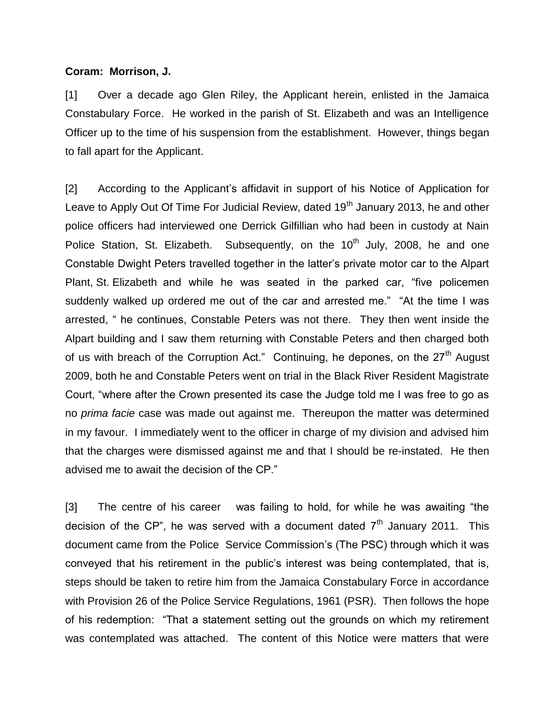#### **Coram: Morrison, J.**

[1] Over a decade ago Glen Riley, the Applicant herein, enlisted in the Jamaica Constabulary Force. He worked in the parish of St. Elizabeth and was an Intelligence Officer up to the time of his suspension from the establishment. However, things began to fall apart for the Applicant.

[2] According to the Applicant's affidavit in support of his Notice of Application for Leave to Apply Out Of Time For Judicial Review, dated  $19<sup>th</sup>$  January 2013, he and other police officers had interviewed one Derrick Gilfillian who had been in custody at Nain Police Station, St. Elizabeth. Subsequently, on the  $10<sup>th</sup>$  July, 2008, he and one Constable Dwight Peters travelled together in the latter's private motor car to the Alpart Plant, St. Elizabeth and while he was seated in the parked car, "five policemen suddenly walked up ordered me out of the car and arrested me." "At the time I was arrested, " he continues, Constable Peters was not there. They then went inside the Alpart building and I saw them returning with Constable Peters and then charged both of us with breach of the Corruption Act." Continuing, he depones, on the 27<sup>th</sup> August 2009, both he and Constable Peters went on trial in the Black River Resident Magistrate Court, "where after the Crown presented its case the Judge told me I was free to go as no *prima facie* case was made out against me. Thereupon the matter was determined in my favour. I immediately went to the officer in charge of my division and advised him that the charges were dismissed against me and that I should be re-instated. He then advised me to await the decision of the CP."

[3] The centre of his career was failing to hold, for while he was awaiting "the decision of the CP", he was served with a document dated  $7<sup>th</sup>$  January 2011. This document came from the Police Service Commission's (The PSC) through which it was conveyed that his retirement in the public's interest was being contemplated, that is, steps should be taken to retire him from the Jamaica Constabulary Force in accordance with Provision 26 of the Police Service Regulations, 1961 (PSR). Then follows the hope of his redemption: "That a statement setting out the grounds on which my retirement was contemplated was attached. The content of this Notice were matters that were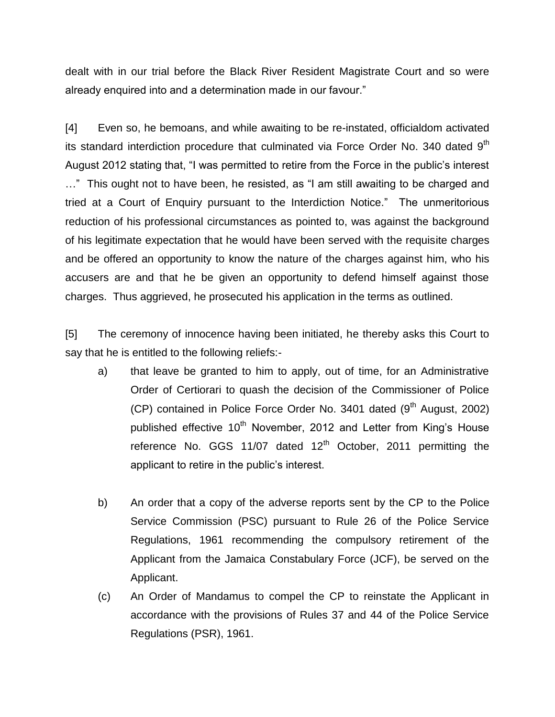dealt with in our trial before the Black River Resident Magistrate Court and so were already enquired into and a determination made in our favour."

[4] Even so, he bemoans, and while awaiting to be re-instated, officialdom activated its standard interdiction procedure that culminated via Force Order No. 340 dated  $9<sup>th</sup>$ August 2012 stating that, "I was permitted to retire from the Force in the public's interest …" This ought not to have been, he resisted, as "I am still awaiting to be charged and tried at a Court of Enquiry pursuant to the Interdiction Notice." The unmeritorious reduction of his professional circumstances as pointed to, was against the background of his legitimate expectation that he would have been served with the requisite charges and be offered an opportunity to know the nature of the charges against him, who his accusers are and that he be given an opportunity to defend himself against those charges. Thus aggrieved, he prosecuted his application in the terms as outlined.

[5] The ceremony of innocence having been initiated, he thereby asks this Court to say that he is entitled to the following reliefs:-

- a) that leave be granted to him to apply, out of time, for an Administrative Order of Certiorari to quash the decision of the Commissioner of Police (CP) contained in Police Force Order No. 3401 dated (9<sup>th</sup> August, 2002) published effective 10<sup>th</sup> November, 2012 and Letter from King's House reference No. GGS 11/07 dated  $12<sup>th</sup>$  October, 2011 permitting the applicant to retire in the public's interest.
- b) An order that a copy of the adverse reports sent by the CP to the Police Service Commission (PSC) pursuant to Rule 26 of the Police Service Regulations, 1961 recommending the compulsory retirement of the Applicant from the Jamaica Constabulary Force (JCF), be served on the Applicant.
- (c) An Order of Mandamus to compel the CP to reinstate the Applicant in accordance with the provisions of Rules 37 and 44 of the Police Service Regulations (PSR), 1961.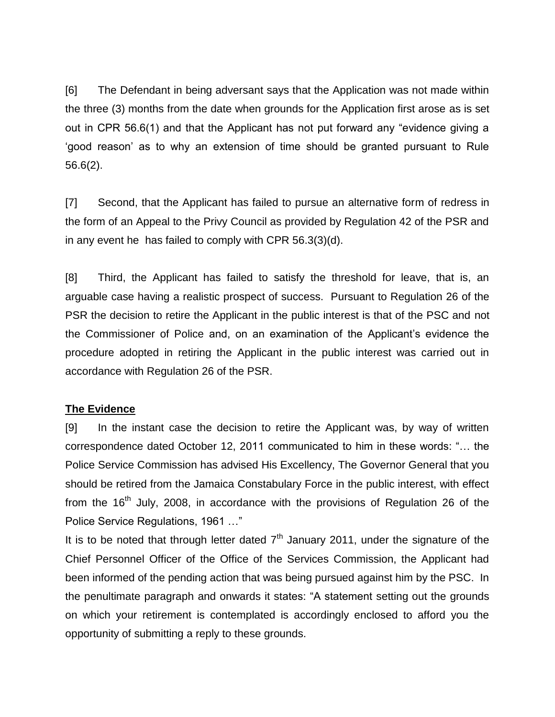[6] The Defendant in being adversant says that the Application was not made within the three (3) months from the date when grounds for the Application first arose as is set out in CPR 56.6(1) and that the Applicant has not put forward any "evidence giving a 'good reason' as to why an extension of time should be granted pursuant to Rule 56.6(2).

[7] Second, that the Applicant has failed to pursue an alternative form of redress in the form of an Appeal to the Privy Council as provided by Regulation 42 of the PSR and in any event he has failed to comply with CPR 56.3(3)(d).

[8] Third, the Applicant has failed to satisfy the threshold for leave, that is, an arguable case having a realistic prospect of success. Pursuant to Regulation 26 of the PSR the decision to retire the Applicant in the public interest is that of the PSC and not the Commissioner of Police and, on an examination of the Applicant's evidence the procedure adopted in retiring the Applicant in the public interest was carried out in accordance with Regulation 26 of the PSR.

## **The Evidence**

[9] In the instant case the decision to retire the Applicant was, by way of written correspondence dated October 12, 2011 communicated to him in these words: "… the Police Service Commission has advised His Excellency, The Governor General that you should be retired from the Jamaica Constabulary Force in the public interest, with effect from the  $16<sup>th</sup>$  July, 2008, in accordance with the provisions of Regulation 26 of the Police Service Regulations, 1961 …"

It is to be noted that through letter dated  $7<sup>th</sup>$  January 2011, under the signature of the Chief Personnel Officer of the Office of the Services Commission, the Applicant had been informed of the pending action that was being pursued against him by the PSC. In the penultimate paragraph and onwards it states: "A statement setting out the grounds on which your retirement is contemplated is accordingly enclosed to afford you the opportunity of submitting a reply to these grounds.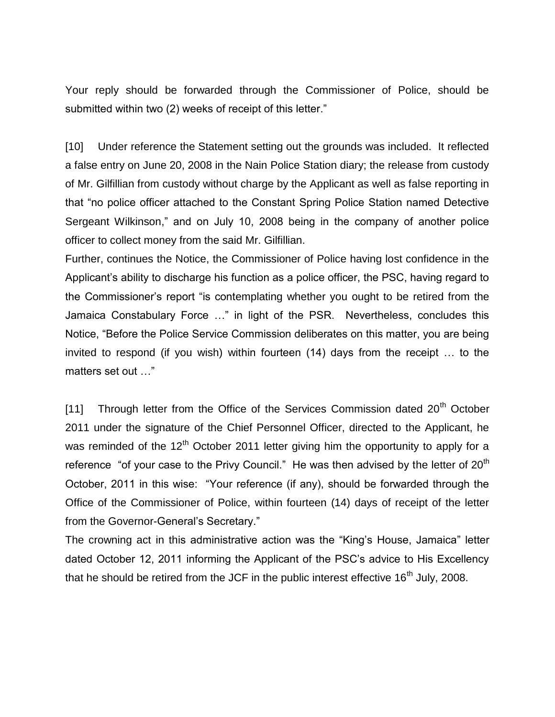Your reply should be forwarded through the Commissioner of Police, should be submitted within two (2) weeks of receipt of this letter."

[10] Under reference the Statement setting out the grounds was included. It reflected a false entry on June 20, 2008 in the Nain Police Station diary; the release from custody of Mr. Gilfillian from custody without charge by the Applicant as well as false reporting in that "no police officer attached to the Constant Spring Police Station named Detective Sergeant Wilkinson," and on July 10, 2008 being in the company of another police officer to collect money from the said Mr. Gilfillian.

Further, continues the Notice, the Commissioner of Police having lost confidence in the Applicant's ability to discharge his function as a police officer, the PSC, having regard to the Commissioner's report "is contemplating whether you ought to be retired from the Jamaica Constabulary Force …" in light of the PSR. Nevertheless, concludes this Notice, "Before the Police Service Commission deliberates on this matter, you are being invited to respond (if you wish) within fourteen (14) days from the receipt … to the matters set out …"

[11] Through letter from the Office of the Services Commission dated  $20<sup>th</sup>$  October 2011 under the signature of the Chief Personnel Officer, directed to the Applicant, he was reminded of the  $12<sup>th</sup>$  October 2011 letter giving him the opportunity to apply for a reference "of your case to the Privy Council." He was then advised by the letter of  $20<sup>th</sup>$ October, 2011 in this wise: "Your reference (if any), should be forwarded through the Office of the Commissioner of Police, within fourteen (14) days of receipt of the letter from the Governor-General's Secretary."

The crowning act in this administrative action was the "King's House, Jamaica" letter dated October 12, 2011 informing the Applicant of the PSC's advice to His Excellency that he should be retired from the JCF in the public interest effective  $16<sup>th</sup>$  July, 2008.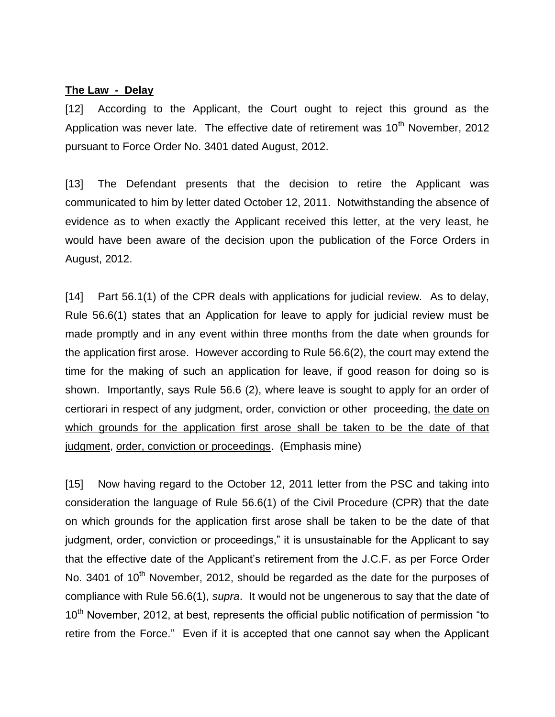#### **The Law - Delay**

[12] According to the Applicant, the Court ought to reject this ground as the Application was never late. The effective date of retirement was 10<sup>th</sup> November, 2012 pursuant to Force Order No. 3401 dated August, 2012.

[13] The Defendant presents that the decision to retire the Applicant was communicated to him by letter dated October 12, 2011. Notwithstanding the absence of evidence as to when exactly the Applicant received this letter, at the very least, he would have been aware of the decision upon the publication of the Force Orders in August, 2012.

[14] Part 56.1(1) of the CPR deals with applications for judicial review. As to delay, Rule 56.6(1) states that an Application for leave to apply for judicial review must be made promptly and in any event within three months from the date when grounds for the application first arose. However according to Rule 56.6(2), the court may extend the time for the making of such an application for leave, if good reason for doing so is shown. Importantly, says Rule 56.6 (2), where leave is sought to apply for an order of certiorari in respect of any judgment, order, conviction or other proceeding, the date on which grounds for the application first arose shall be taken to be the date of that judgment, order, conviction or proceedings. (Emphasis mine)

[15] Now having regard to the October 12, 2011 letter from the PSC and taking into consideration the language of Rule 56.6(1) of the Civil Procedure (CPR) that the date on which grounds for the application first arose shall be taken to be the date of that judgment, order, conviction or proceedings," it is unsustainable for the Applicant to say that the effective date of the Applicant's retirement from the J.C.F. as per Force Order No. 3401 of 10<sup>th</sup> November, 2012, should be regarded as the date for the purposes of compliance with Rule 56.6(1), *supra*. It would not be ungenerous to say that the date of 10<sup>th</sup> November, 2012, at best, represents the official public notification of permission "to retire from the Force." Even if it is accepted that one cannot say when the Applicant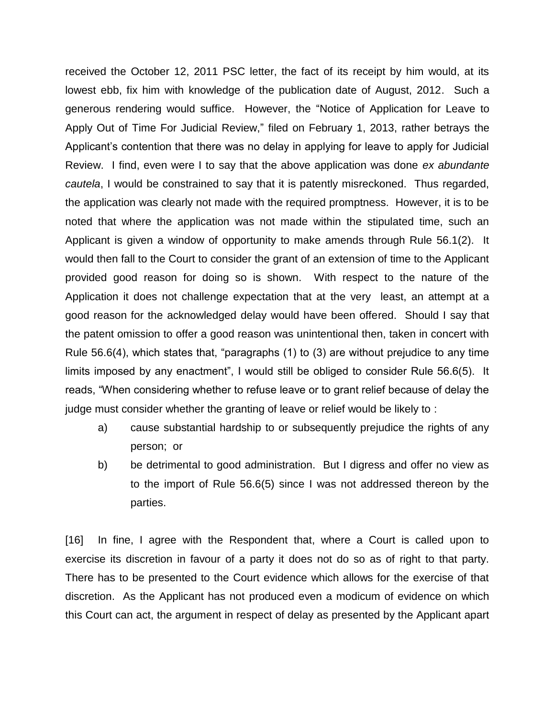received the October 12, 2011 PSC letter, the fact of its receipt by him would, at its lowest ebb, fix him with knowledge of the publication date of August, 2012. Such a generous rendering would suffice. However, the "Notice of Application for Leave to Apply Out of Time For Judicial Review," filed on February 1, 2013, rather betrays the Applicant's contention that there was no delay in applying for leave to apply for Judicial Review. I find, even were I to say that the above application was done *ex abundante cautela*, I would be constrained to say that it is patently misreckoned. Thus regarded, the application was clearly not made with the required promptness. However, it is to be noted that where the application was not made within the stipulated time, such an Applicant is given a window of opportunity to make amends through Rule 56.1(2). It would then fall to the Court to consider the grant of an extension of time to the Applicant provided good reason for doing so is shown. With respect to the nature of the Application it does not challenge expectation that at the very least, an attempt at a good reason for the acknowledged delay would have been offered. Should I say that the patent omission to offer a good reason was unintentional then, taken in concert with Rule 56.6(4), which states that, "paragraphs (1) to (3) are without prejudice to any time limits imposed by any enactment", I would still be obliged to consider Rule 56.6(5). It reads, "When considering whether to refuse leave or to grant relief because of delay the judge must consider whether the granting of leave or relief would be likely to :

- a) cause substantial hardship to or subsequently prejudice the rights of any person; or
- b) be detrimental to good administration. But I digress and offer no view as to the import of Rule 56.6(5) since I was not addressed thereon by the parties.

[16] In fine, I agree with the Respondent that, where a Court is called upon to exercise its discretion in favour of a party it does not do so as of right to that party. There has to be presented to the Court evidence which allows for the exercise of that discretion. As the Applicant has not produced even a modicum of evidence on which this Court can act, the argument in respect of delay as presented by the Applicant apart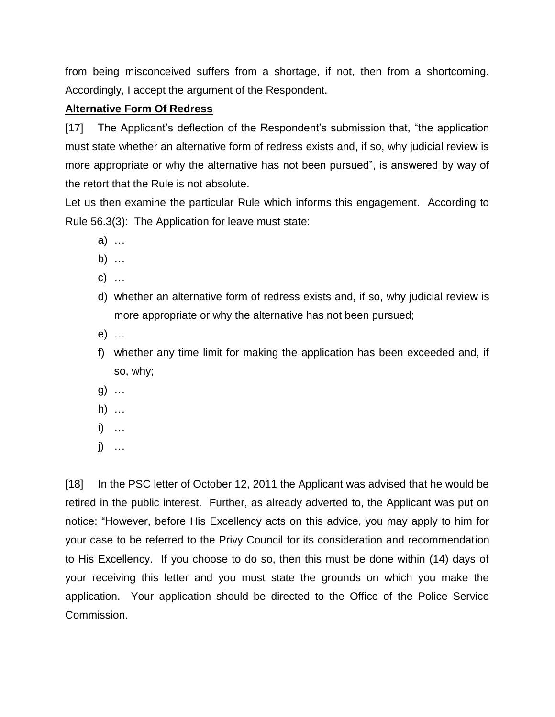from being misconceived suffers from a shortage, if not, then from a shortcoming. Accordingly, I accept the argument of the Respondent.

# **Alternative Form Of Redress**

[17] The Applicant's deflection of the Respondent's submission that, "the application must state whether an alternative form of redress exists and, if so, why judicial review is more appropriate or why the alternative has not been pursued", is answered by way of the retort that the Rule is not absolute.

Let us then examine the particular Rule which informs this engagement. According to Rule 56.3(3): The Application for leave must state:

- a) …
- b) …
- c) …
- d) whether an alternative form of redress exists and, if so, why judicial review is more appropriate or why the alternative has not been pursued;
- e) …
- f) whether any time limit for making the application has been exceeded and, if so, why;
- g) …
- h) …
- i) …
- j) …

[18] In the PSC letter of October 12, 2011 the Applicant was advised that he would be retired in the public interest. Further, as already adverted to, the Applicant was put on notice: "However, before His Excellency acts on this advice, you may apply to him for your case to be referred to the Privy Council for its consideration and recommendation to His Excellency. If you choose to do so, then this must be done within (14) days of your receiving this letter and you must state the grounds on which you make the application. Your application should be directed to the Office of the Police Service Commission.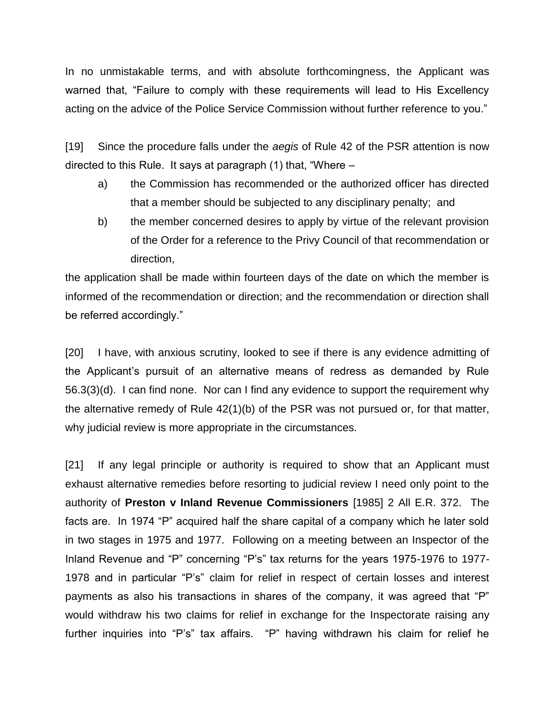In no unmistakable terms, and with absolute forthcomingness, the Applicant was warned that, "Failure to comply with these requirements will lead to His Excellency acting on the advice of the Police Service Commission without further reference to you."

[19] Since the procedure falls under the *aegis* of Rule 42 of the PSR attention is now directed to this Rule. It says at paragraph (1) that, "Where –

- a) the Commission has recommended or the authorized officer has directed that a member should be subjected to any disciplinary penalty; and
- b) the member concerned desires to apply by virtue of the relevant provision of the Order for a reference to the Privy Council of that recommendation or direction,

the application shall be made within fourteen days of the date on which the member is informed of the recommendation or direction; and the recommendation or direction shall be referred accordingly."

[20] I have, with anxious scrutiny, looked to see if there is any evidence admitting of the Applicant's pursuit of an alternative means of redress as demanded by Rule 56.3(3)(d). I can find none. Nor can I find any evidence to support the requirement why the alternative remedy of Rule 42(1)(b) of the PSR was not pursued or, for that matter, why judicial review is more appropriate in the circumstances.

[21] If any legal principle or authority is required to show that an Applicant must exhaust alternative remedies before resorting to judicial review I need only point to the authority of **Preston v Inland Revenue Commissioners** [1985] 2 All E.R. 372. The facts are. In 1974 "P" acquired half the share capital of a company which he later sold in two stages in 1975 and 1977. Following on a meeting between an Inspector of the Inland Revenue and "P" concerning "P's" tax returns for the years 1975-1976 to 1977- 1978 and in particular "P's" claim for relief in respect of certain losses and interest payments as also his transactions in shares of the company, it was agreed that "P" would withdraw his two claims for relief in exchange for the Inspectorate raising any further inquiries into "P's" tax affairs. "P" having withdrawn his claim for relief he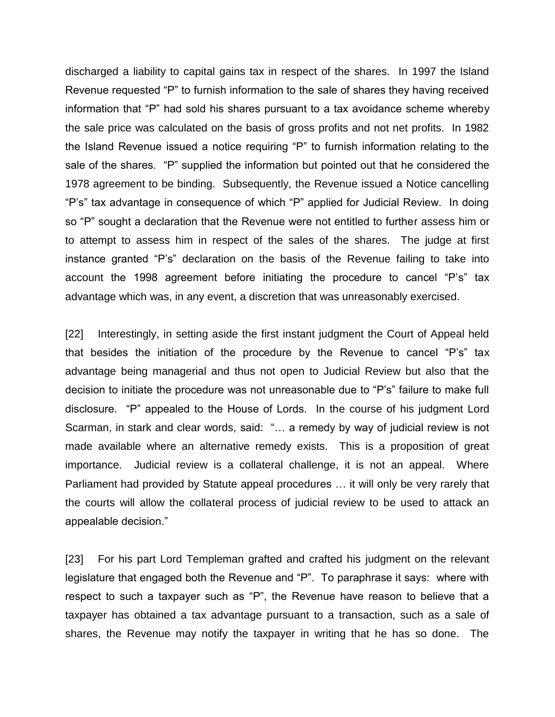discharged a liability to capital gains tax in respect of the shares. In 1997 the Island Revenue requested "P" to furnish information to the sale of shares they having received information that "P" had sold his shares pursuant to a tax avoidance scheme whereby the sale price was calculated on the basis of gross profits and not net profits. In 1982 the Island Revenue issued a notice requiring "P" to furnish information relating to the sale of the shares. "P" supplied the information but pointed out that he considered the 1978 agreement to be binding. Subsequently, the Revenue issued a Notice cancelling "P's" tax advantage in consequence of which "P" applied for Judicial Review. In doing so "P" sought a declaration that the Revenue were not entitled to further assess him or to attempt to assess him in respect of the sales of the shares. The judge at first instance granted "P's" declaration on the basis of the Revenue failing to take into account the 1998 agreement before initiating the procedure to cancel "P's" tax advantage which was, in any event, a discretion that was unreasonably exercised.

[22] Interestingly, in setting aside the first instant judgment the Court of Appeal held that besides the initiation of the procedure by the Revenue to cancel "P's" tax advantage being managerial and thus not open to Judicial Review but also that the decision to initiate the procedure was not unreasonable due to "P's" failure to make full disclosure. "P" appealed to the House of Lords. In the course of his judgment Lord Scarman, in stark and clear words, said: "… a remedy by way of judicial review is not made available where an alternative remedy exists. This is a proposition of great importance. Judicial review is a collateral challenge, it is not an appeal. Where Parliament had provided by Statute appeal procedures … it will only be very rarely that the courts will allow the collateral process of judicial review to be used to attack an appealable decision."

[23] For his part Lord Templeman grafted and crafted his judgment on the relevant legislature that engaged both the Revenue and "P". To paraphrase it says: where with respect to such a taxpayer such as "P", the Revenue have reason to believe that a taxpayer has obtained a tax advantage pursuant to a transaction, such as a sale of shares, the Revenue may notify the taxpayer in writing that he has so done. The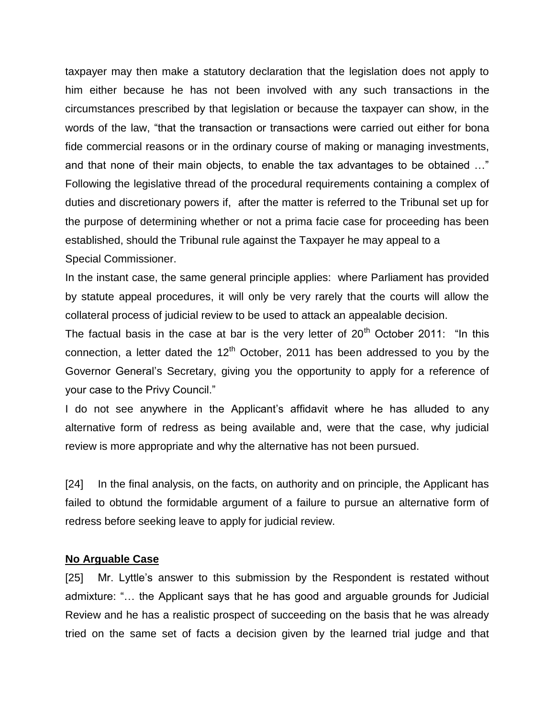taxpayer may then make a statutory declaration that the legislation does not apply to him either because he has not been involved with any such transactions in the circumstances prescribed by that legislation or because the taxpayer can show, in the words of the law, "that the transaction or transactions were carried out either for bona fide commercial reasons or in the ordinary course of making or managing investments, and that none of their main objects, to enable the tax advantages to be obtained …" Following the legislative thread of the procedural requirements containing a complex of duties and discretionary powers if, after the matter is referred to the Tribunal set up for the purpose of determining whether or not a prima facie case for proceeding has been established, should the Tribunal rule against the Taxpayer he may appeal to a Special Commissioner.

In the instant case, the same general principle applies: where Parliament has provided by statute appeal procedures, it will only be very rarely that the courts will allow the collateral process of judicial review to be used to attack an appealable decision.

The factual basis in the case at bar is the very letter of  $20<sup>th</sup>$  October 2011: "In this connection, a letter dated the  $12<sup>th</sup>$  October, 2011 has been addressed to you by the Governor General's Secretary, giving you the opportunity to apply for a reference of your case to the Privy Council."

I do not see anywhere in the Applicant's affidavit where he has alluded to any alternative form of redress as being available and, were that the case, why judicial review is more appropriate and why the alternative has not been pursued.

[24] In the final analysis, on the facts, on authority and on principle, the Applicant has failed to obtund the formidable argument of a failure to pursue an alternative form of redress before seeking leave to apply for judicial review.

#### **No Arguable Case**

[25] Mr. Lyttle's answer to this submission by the Respondent is restated without admixture: "… the Applicant says that he has good and arguable grounds for Judicial Review and he has a realistic prospect of succeeding on the basis that he was already tried on the same set of facts a decision given by the learned trial judge and that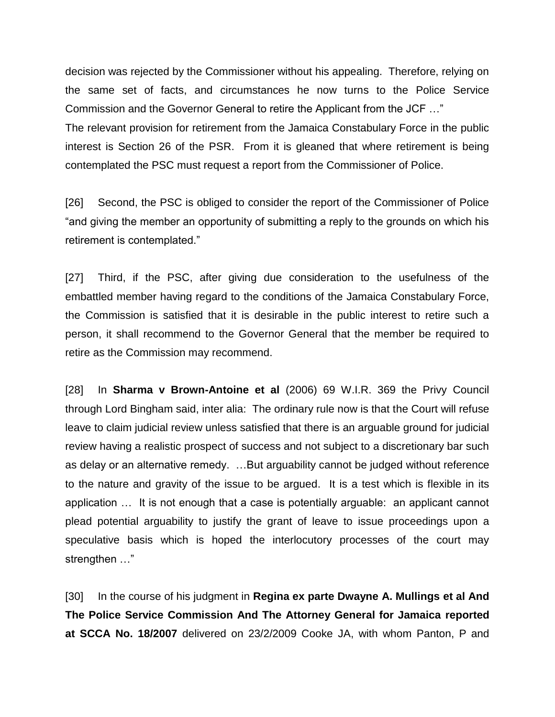decision was rejected by the Commissioner without his appealing. Therefore, relying on the same set of facts, and circumstances he now turns to the Police Service Commission and the Governor General to retire the Applicant from the JCF …" The relevant provision for retirement from the Jamaica Constabulary Force in the public interest is Section 26 of the PSR. From it is gleaned that where retirement is being contemplated the PSC must request a report from the Commissioner of Police.

[26] Second, the PSC is obliged to consider the report of the Commissioner of Police "and giving the member an opportunity of submitting a reply to the grounds on which his retirement is contemplated."

[27] Third, if the PSC, after giving due consideration to the usefulness of the embattled member having regard to the conditions of the Jamaica Constabulary Force, the Commission is satisfied that it is desirable in the public interest to retire such a person, it shall recommend to the Governor General that the member be required to retire as the Commission may recommend.

[28] In **Sharma v Brown-Antoine et al** (2006) 69 W.I.R. 369 the Privy Council through Lord Bingham said, inter alia: The ordinary rule now is that the Court will refuse leave to claim judicial review unless satisfied that there is an arguable ground for judicial review having a realistic prospect of success and not subject to a discretionary bar such as delay or an alternative remedy. …But arguability cannot be judged without reference to the nature and gravity of the issue to be argued. It is a test which is flexible in its application … It is not enough that a case is potentially arguable: an applicant cannot plead potential arguability to justify the grant of leave to issue proceedings upon a speculative basis which is hoped the interlocutory processes of the court may strengthen …"

[30] In the course of his judgment in **Regina ex parte Dwayne A. Mullings et al And The Police Service Commission And The Attorney General for Jamaica reported at SCCA No. 18/2007** delivered on 23/2/2009 Cooke JA, with whom Panton, P and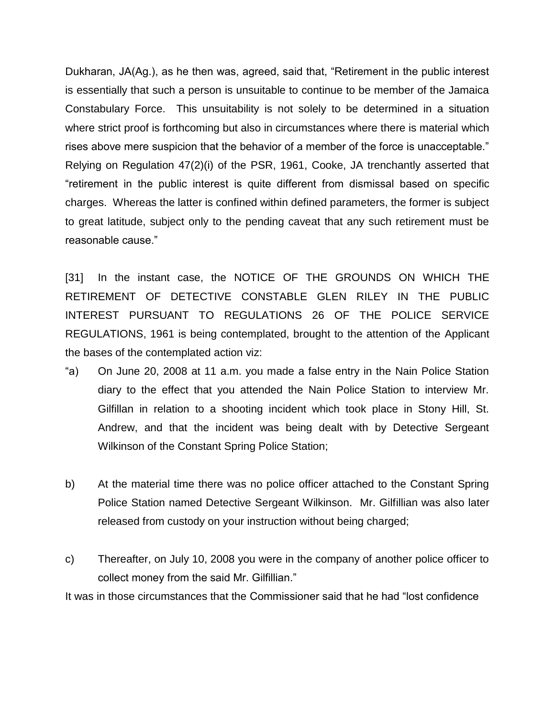Dukharan, JA(Ag.), as he then was, agreed, said that, "Retirement in the public interest is essentially that such a person is unsuitable to continue to be member of the Jamaica Constabulary Force. This unsuitability is not solely to be determined in a situation where strict proof is forthcoming but also in circumstances where there is material which rises above mere suspicion that the behavior of a member of the force is unacceptable." Relying on Regulation 47(2)(i) of the PSR, 1961, Cooke, JA trenchantly asserted that "retirement in the public interest is quite different from dismissal based on specific charges. Whereas the latter is confined within defined parameters, the former is subject to great latitude, subject only to the pending caveat that any such retirement must be reasonable cause."

[31] In the instant case, the NOTICE OF THE GROUNDS ON WHICH THE RETIREMENT OF DETECTIVE CONSTABLE GLEN RILEY IN THE PUBLIC INTEREST PURSUANT TO REGULATIONS 26 OF THE POLICE SERVICE REGULATIONS, 1961 is being contemplated, brought to the attention of the Applicant the bases of the contemplated action viz:

- "a) On June 20, 2008 at 11 a.m. you made a false entry in the Nain Police Station diary to the effect that you attended the Nain Police Station to interview Mr. Gilfillan in relation to a shooting incident which took place in Stony Hill, St. Andrew, and that the incident was being dealt with by Detective Sergeant Wilkinson of the Constant Spring Police Station;
- b) At the material time there was no police officer attached to the Constant Spring Police Station named Detective Sergeant Wilkinson. Mr. Gilfillian was also later released from custody on your instruction without being charged;
- c) Thereafter, on July 10, 2008 you were in the company of another police officer to collect money from the said Mr. Gilfillian."

It was in those circumstances that the Commissioner said that he had "lost confidence